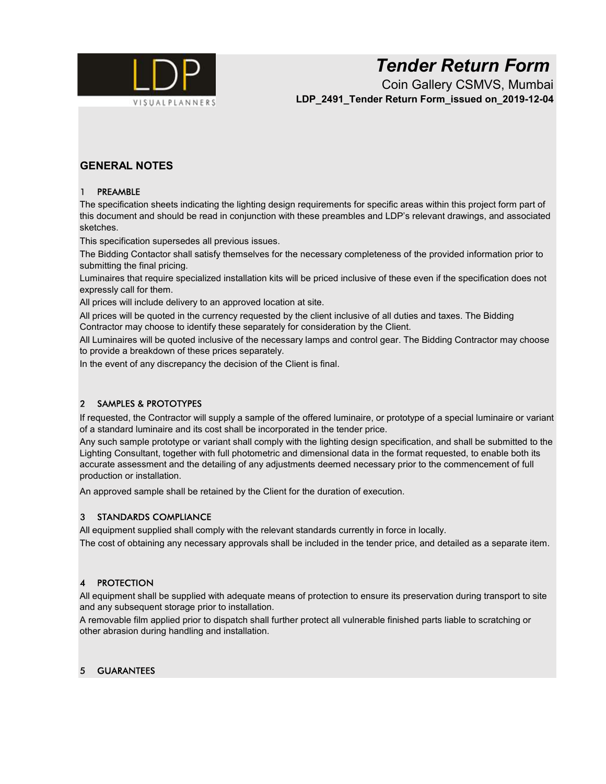

# Tender Return Form

Coin Gallery CSMVS, Mumbai LDP 2491 Tender Return Form\_issued on\_2019-12-04

## GENERAL NOTES

#### 1 PREAMBLE

The specification sheets indicating the lighting design requirements for specific areas within this project form part of this document and should be read in conjunction with these preambles and LDP's relevant drawings, and associated sketches.

This specification supersedes all previous issues.

The Bidding Contactor shall satisfy themselves for the necessary completeness of the provided information prior to submitting the final pricing.

Luminaires that require specialized installation kits will be priced inclusive of these even if the specification does not expressly call for them.

All prices will include delivery to an approved location at site.

All prices will be quoted in the currency requested by the client inclusive of all duties and taxes. The Bidding Contractor may choose to identify these separately for consideration by the Client.

All Luminaires will be quoted inclusive of the necessary lamps and control gear. The Bidding Contractor may choose to provide a breakdown of these prices separately.

In the event of any discrepancy the decision of the Client is final.

### 2 SAMPLES & PROTOTYPES

If requested, the Contractor will supply a sample of the offered luminaire, or prototype of a special luminaire or variant of a standard luminaire and its cost shall be incorporated in the tender price.

Any such sample prototype or variant shall comply with the lighting design specification, and shall be submitted to the Lighting Consultant, together with full photometric and dimensional data in the format requested, to enable both its accurate assessment and the detailing of any adjustments deemed necessary prior to the commencement of full production or installation.

An approved sample shall be retained by the Client for the duration of execution.

#### 3 STANDARDS COMPLIANCE

All equipment supplied shall comply with the relevant standards currently in force in locally.

The cost of obtaining any necessary approvals shall be included in the tender price, and detailed as a separate item.

#### 4 PROTECTION

All equipment shall be supplied with adequate means of protection to ensure its preservation during transport to site and any subsequent storage prior to installation.

A removable film applied prior to dispatch shall further protect all vulnerable finished parts liable to scratching or other abrasion during handling and installation.

#### 5 GUARANTEES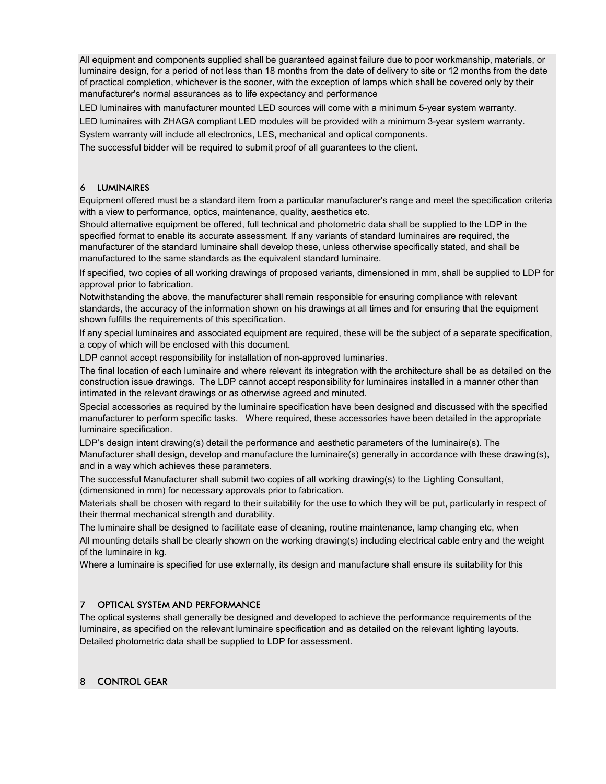All equipment and components supplied shall be guaranteed against failure due to poor workmanship, materials, or luminaire design, for a period of not less than 18 months from the date of delivery to site or 12 months from the date of practical completion, whichever is the sooner, with the exception of lamps which shall be covered only by their manufacturer's normal assurances as to life expectancy and performance

LED luminaires with manufacturer mounted LED sources will come with a minimum 5-year system warranty.

LED luminaires with ZHAGA compliant LED modules will be provided with a minimum 3-year system warranty.

System warranty will include all electronics, LES, mechanical and optical components.

The successful bidder will be required to submit proof of all guarantees to the client.

#### 6 LUMINAIRES

Equipment offered must be a standard item from a particular manufacturer's range and meet the specification criteria with a view to performance, optics, maintenance, quality, aesthetics etc.

Should alternative equipment be offered, full technical and photometric data shall be supplied to the LDP in the specified format to enable its accurate assessment. If any variants of standard luminaires are required, the manufacturer of the standard luminaire shall develop these, unless otherwise specifically stated, and shall be manufactured to the same standards as the equivalent standard luminaire.

If specified, two copies of all working drawings of proposed variants, dimensioned in mm, shall be supplied to LDP for approval prior to fabrication.

Notwithstanding the above, the manufacturer shall remain responsible for ensuring compliance with relevant standards, the accuracy of the information shown on his drawings at all times and for ensuring that the equipment shown fulfills the requirements of this specification.

If any special luminaires and associated equipment are required, these will be the subject of a separate specification, a copy of which will be enclosed with this document.

LDP cannot accept responsibility for installation of non-approved luminaries.

The final location of each luminaire and where relevant its integration with the architecture shall be as detailed on the construction issue drawings. The LDP cannot accept responsibility for luminaires installed in a manner other than intimated in the relevant drawings or as otherwise agreed and minuted.

Special accessories as required by the luminaire specification have been designed and discussed with the specified manufacturer to perform specific tasks. Where required, these accessories have been detailed in the appropriate luminaire specification.

LDP's design intent drawing(s) detail the performance and aesthetic parameters of the luminaire(s). The Manufacturer shall design, develop and manufacture the luminaire(s) generally in accordance with these drawing(s), and in a way which achieves these parameters.

The successful Manufacturer shall submit two copies of all working drawing(s) to the Lighting Consultant, (dimensioned in mm) for necessary approvals prior to fabrication.

Materials shall be chosen with regard to their suitability for the use to which they will be put, particularly in respect of their thermal mechanical strength and durability.

The luminaire shall be designed to facilitate ease of cleaning, routine maintenance, lamp changing etc, when All mounting details shall be clearly shown on the working drawing(s) including electrical cable entry and the weight of the luminaire in kg.

Where a luminaire is specified for use externally, its design and manufacture shall ensure its suitability for this

#### 7 OPTICAL SYSTEM AND PERFORMANCE

The optical systems shall generally be designed and developed to achieve the performance requirements of the luminaire, as specified on the relevant luminaire specification and as detailed on the relevant lighting layouts. Detailed photometric data shall be supplied to LDP for assessment.

#### 8 CONTROL GEAR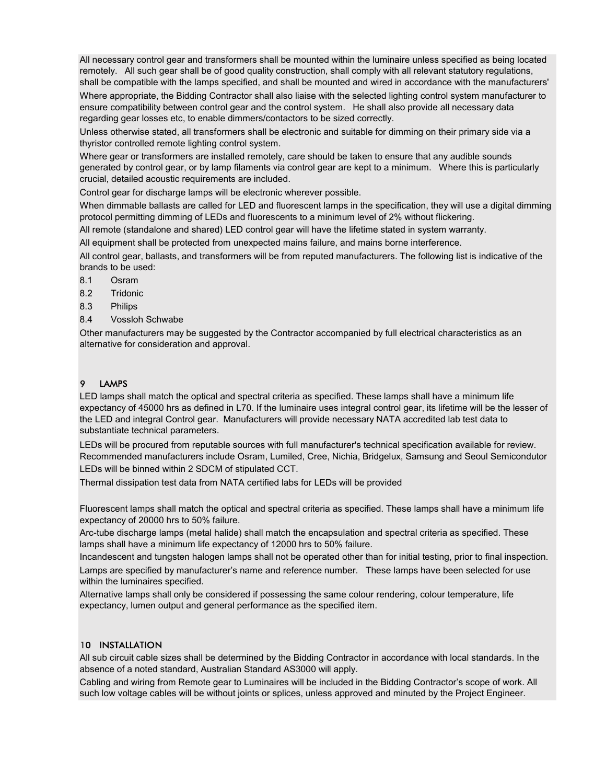All necessary control gear and transformers shall be mounted within the luminaire unless specified as being located remotely. All such gear shall be of good quality construction, shall comply with all relevant statutory regulations, shall be compatible with the lamps specified, and shall be mounted and wired in accordance with the manufacturers' Where appropriate, the Bidding Contractor shall also liaise with the selected lighting control system manufacturer to ensure compatibility between control gear and the control system. He shall also provide all necessary data regarding gear losses etc, to enable dimmers/contactors to be sized correctly.

Unless otherwise stated, all transformers shall be electronic and suitable for dimming on their primary side via a thyristor controlled remote lighting control system.

Where gear or transformers are installed remotely, care should be taken to ensure that any audible sounds generated by control gear, or by lamp filaments via control gear are kept to a minimum. Where this is particularly crucial, detailed acoustic requirements are included.

Control gear for discharge lamps will be electronic wherever possible.

When dimmable ballasts are called for LED and fluorescent lamps in the specification, they will use a digital dimming protocol permitting dimming of LEDs and fluorescents to a minimum level of 2% without flickering.

All remote (standalone and shared) LED control gear will have the lifetime stated in system warranty.

All equipment shall be protected from unexpected mains failure, and mains borne interference.

All control gear, ballasts, and transformers will be from reputed manufacturers. The following list is indicative of the brands to be used:

- 8.1 Osram
- 8.2 Tridonic
- 8.3 Philips
- 8.4 Vossloh Schwabe

Other manufacturers may be suggested by the Contractor accompanied by full electrical characteristics as an alternative for consideration and approval.

#### 9 **LAMPS**

LED lamps shall match the optical and spectral criteria as specified. These lamps shall have a minimum life expectancy of 45000 hrs as defined in L70. If the luminaire uses integral control gear, its lifetime will be the lesser of the LED and integral Control gear. Manufacturers will provide necessary NATA accredited lab test data to substantiate technical parameters.

LEDs will be procured from reputable sources with full manufacturer's technical specification available for review. Recommended manufacturers include Osram, Lumiled, Cree, Nichia, Bridgelux, Samsung and Seoul Semicondutor LEDs will be binned within 2 SDCM of stipulated CCT.

Thermal dissipation test data from NATA certified labs for LEDs will be provided

Fluorescent lamps shall match the optical and spectral criteria as specified. These lamps shall have a minimum life expectancy of 20000 hrs to 50% failure.

Arc-tube discharge lamps (metal halide) shall match the encapsulation and spectral criteria as specified. These lamps shall have a minimum life expectancy of 12000 hrs to 50% failure.

Incandescent and tungsten halogen lamps shall not be operated other than for initial testing, prior to final inspection. Lamps are specified by manufacturer's name and reference number. These lamps have been selected for use within the luminaires specified.

Alternative lamps shall only be considered if possessing the same colour rendering, colour temperature, life expectancy, lumen output and general performance as the specified item.

#### 10 INSTALLATION

All sub circuit cable sizes shall be determined by the Bidding Contractor in accordance with local standards. In the absence of a noted standard, Australian Standard AS3000 will apply.

Cabling and wiring from Remote gear to Luminaires will be included in the Bidding Contractor's scope of work. All such low voltage cables will be without joints or splices, unless approved and minuted by the Project Engineer.